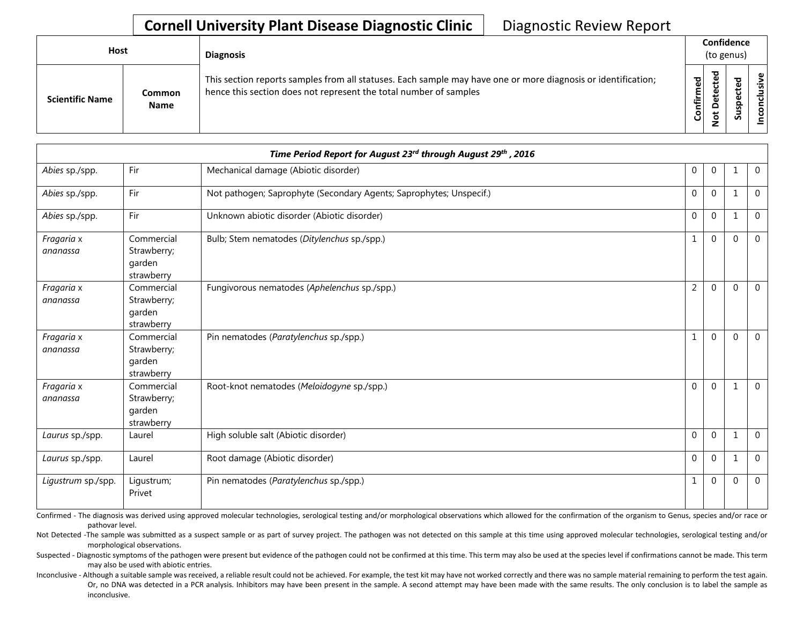| Host                   |                       | <b>Diagnosis</b>                                                                                                                                                                   |                    |              | Confidence<br>(to genus)   |            |  |
|------------------------|-----------------------|------------------------------------------------------------------------------------------------------------------------------------------------------------------------------------|--------------------|--------------|----------------------------|------------|--|
| <b>Scientific Name</b> | Common<br><b>Name</b> | This section reports samples from all statuses. Each sample may have one or more diagnosis or identification;<br>hence this section does not represent the total number of samples | යි<br>ග<br>Confirm | ᇃ<br>≏<br>سه | ъ<br>உ<br>ω<br>௨<br>s<br>ౘ | usive<br>۰ |  |

|                        | Time Period Report for August 23rd through August 29th, 2016 |                                                                     |                |                |              |                |  |  |  |
|------------------------|--------------------------------------------------------------|---------------------------------------------------------------------|----------------|----------------|--------------|----------------|--|--|--|
| Abies sp./spp.         | Fir                                                          | Mechanical damage (Abiotic disorder)                                | $\mathbf 0$    | $\overline{0}$ | $\mathbf{1}$ | $\mathbf 0$    |  |  |  |
| Abies sp./spp.         | Fir                                                          | Not pathogen; Saprophyte (Secondary Agents; Saprophytes; Unspecif.) | $\mathbf 0$    | $\mathbf 0$    | 1            | $\mathbf{0}$   |  |  |  |
| Abies sp./spp.         | Fir                                                          | Unknown abiotic disorder (Abiotic disorder)                         | $\mathbf 0$    | $\mathbf{0}$   | $\mathbf{1}$ | $\overline{0}$ |  |  |  |
| Fragaria x<br>ananassa | Commercial<br>Strawberry;<br>garden<br>strawberry            | Bulb; Stem nematodes (Ditylenchus sp./spp.)                         | $\mathbf{1}$   | $\mathbf{0}$   | $\Omega$     | $\mathbf{0}$   |  |  |  |
| Fragaria x<br>ananassa | Commercial<br>Strawberry;<br>garden<br>strawberry            | Fungivorous nematodes (Aphelenchus sp./spp.)                        | $\overline{2}$ | $\Omega$       | $\Omega$     | $\Omega$       |  |  |  |
| Fragaria x<br>ananassa | Commercial<br>Strawberry;<br>garden<br>strawberry            | Pin nematodes (Paratylenchus sp./spp.)                              | $\mathbf{1}$   | $\Omega$       | $\Omega$     | $\overline{0}$ |  |  |  |
| Fragaria x<br>ananassa | Commercial<br>Strawberry;<br>garden<br>strawberry            | Root-knot nematodes (Meloidogyne sp./spp.)                          | $\mathbf 0$    | $\mathbf{0}$   | 1            | $\mathbf 0$    |  |  |  |
| Laurus sp./spp.        | Laurel                                                       | High soluble salt (Abiotic disorder)                                | $\mathbf 0$    | $\mathbf 0$    | 1            | $\Omega$       |  |  |  |
| Laurus sp./spp.        | Laurel                                                       | Root damage (Abiotic disorder)                                      | $\mathbf 0$    | $\mathbf 0$    | 1            | $\mathbf 0$    |  |  |  |
| Ligustrum sp./spp.     | Ligustrum;<br>Privet                                         | Pin nematodes (Paratylenchus sp./spp.)                              | $\mathbf{1}$   | $\mathbf{0}$   | $\Omega$     | $\mathbf 0$    |  |  |  |

Confirmed - The diagnosis was derived using approved molecular technologies, serological testing and/or morphological observations which allowed for the confirmation of the organism to Genus, species and/or race or pathovar level.

Not Detected -The sample was submitted as a suspect sample or as part of survey project. The pathogen was not detected on this sample at this time using approved molecular technologies, serological testing and/or morphological observations.

Suspected - Diagnostic symptoms of the pathogen were present but evidence of the pathogen could not be confirmed at this time. This term may also be used at the species level if confirmations cannot be made. This term may also be used with abiotic entries.

Inconclusive - Although a suitable sample was received, a reliable result could not be achieved. For example, the test kit may have not worked correctly and there was no sample material remaining to perform the test again. Or, no DNA was detected in a PCR analysis. Inhibitors may have been present in the sample. A second attempt may have been made with the same results. The only conclusion is to label the sample as inconclusive.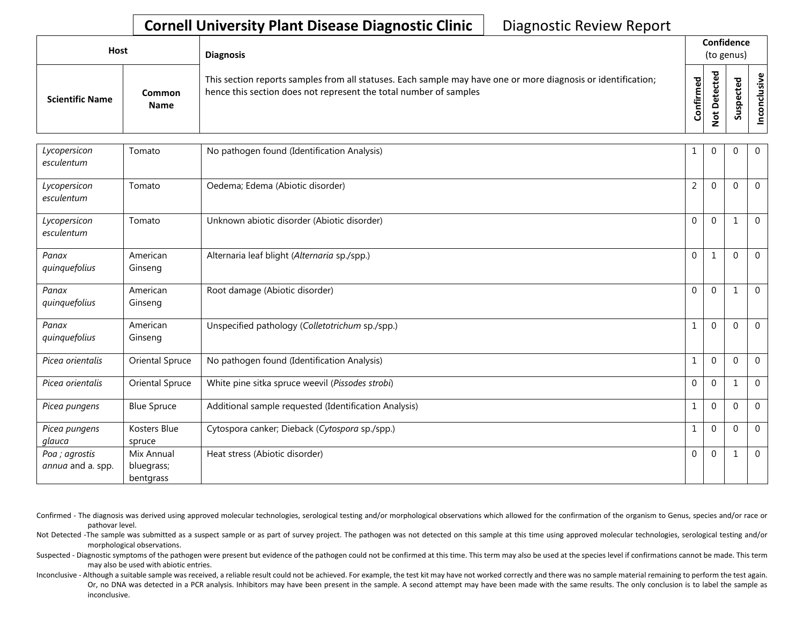| <b>Host</b>            |                       | <b>Diagnosis</b>                                                                                                                                                                   |                          | Confidence<br>(to genus)                        |              |                             |  |
|------------------------|-----------------------|------------------------------------------------------------------------------------------------------------------------------------------------------------------------------------|--------------------------|-------------------------------------------------|--------------|-----------------------------|--|
| <b>Scientific Name</b> | Common<br><b>Name</b> | This section reports samples from all statuses. Each sample may have one or more diagnosis or identification;<br>hence this section does not represent the total number of samples | ဥ<br>Ē<br>≐.<br><b>G</b> | ᅙ<br>ڣ<br>ں<br>ω<br>ىپ<br>ω<br>۵<br>پ<br>Ö<br>- | ᇃ<br>S<br>ഄഁ | $\mathbf \omega$<br>.≥<br>š |  |

| Lycopersicon<br>esculentum          | Tomato                                | No pathogen found (Identification Analysis)           | 1              | $\overline{0}$ | $\Omega$ | $\mathbf{0}$   |
|-------------------------------------|---------------------------------------|-------------------------------------------------------|----------------|----------------|----------|----------------|
| Lycopersicon<br>esculentum          | Tomato                                | Oedema; Edema (Abiotic disorder)                      | $\overline{2}$ | $\mathbf{0}$   | $\Omega$ | $\overline{0}$ |
| Lycopersicon<br>esculentum          | Tomato                                | Unknown abiotic disorder (Abiotic disorder)           | $\Omega$       | $\Omega$       |          | $\overline{0}$ |
| Panax<br>quinquefolius              | American<br>Ginseng                   | Alternaria leaf blight (Alternaria sp./spp.)          | $\mathbf{0}$   | 1              | $\Omega$ | $\overline{0}$ |
| Panax<br>quinquefolius              | American<br>Ginseng                   | Root damage (Abiotic disorder)                        | $\mathbf 0$    | $\Omega$       |          | $\overline{0}$ |
| Panax<br>quinquefolius              | American<br>Ginseng                   | Unspecified pathology (Colletotrichum sp./spp.)       | $\mathbf{1}$   | $\Omega$       | $\Omega$ | $\overline{0}$ |
| Picea orientalis                    | Oriental Spruce                       | No pathogen found (Identification Analysis)           | 1              | $\mathbf 0$    | $\Omega$ | $\mathbf 0$    |
| Picea orientalis                    | Oriental Spruce                       | White pine sitka spruce weevil (Pissodes strobi)      | $\mathbf{0}$   | $\Omega$       |          | $\Omega$       |
| Picea pungens                       | <b>Blue Spruce</b>                    | Additional sample requested (Identification Analysis) | 1              | $\mathbf{0}$   | $\Omega$ | $\overline{0}$ |
| Picea pungens<br>glauca             | Kosters Blue<br>spruce                | Cytospora canker; Dieback (Cytospora sp./spp.)        | 1              | $\mathbf{0}$   | $\Omega$ | $\mathbf{0}$   |
| Poa ; agrostis<br>annua and a. spp. | Mix Annual<br>bluegrass;<br>bentgrass | Heat stress (Abiotic disorder)                        | $\mathbf 0$    | $\mathbf{0}$   |          | $\mathbf{0}$   |

- Confirmed The diagnosis was derived using approved molecular technologies, serological testing and/or morphological observations which allowed for the confirmation of the organism to Genus, species and/or race or pathovar level.
- Not Detected -The sample was submitted as a suspect sample or as part of survey project. The pathogen was not detected on this sample at this time using approved molecular technologies, serological testing and/or morphological observations.
- Suspected Diagnostic symptoms of the pathogen were present but evidence of the pathogen could not be confirmed at this time. This term may also be used at the species level if confirmations cannot be made. This term may also be used with abiotic entries.
- Inconclusive Although a suitable sample was received, a reliable result could not be achieved. For example, the test kit may have not worked correctly and there was no sample material remaining to perform the test again. Or, no DNA was detected in a PCR analysis. Inhibitors may have been present in the sample. A second attempt may have been made with the same results. The only conclusion is to label the sample as inconclusive.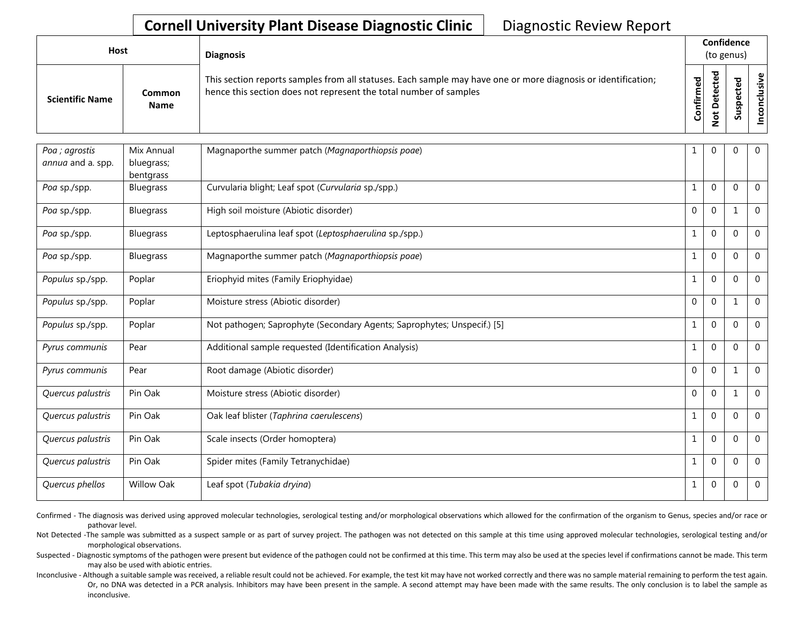| Host                   |                              | <b>Diagnosis</b>                                                                                                                                                                   |           |                                  | Confidence<br>(to genus) |             |
|------------------------|------------------------------|------------------------------------------------------------------------------------------------------------------------------------------------------------------------------------|-----------|----------------------------------|--------------------------|-------------|
| <b>Scientific Name</b> | <b>Common</b><br><b>Name</b> | This section reports samples from all statuses. Each sample may have one or more diagnosis or identification;<br>hence this section does not represent the total number of samples | Confirmed | ဥ<br>etect<br>≏<br>$\frac{1}{2}$ | Suspected                | nconclusive |
|                        |                              |                                                                                                                                                                                    |           |                                  |                          |             |
| Poa ; agrostis         | Mix Annual                   | Magnaporthe summer patch (Magnaporthiopsis poae)                                                                                                                                   |           | 0                                |                          |             |
| annua and a. spp.      | bluegrass;                   |                                                                                                                                                                                    |           |                                  |                          |             |
|                        | hontaracc                    |                                                                                                                                                                                    |           |                                  |                          |             |

| annua and a. spp. | bluegrass;<br>bentgrass |                                                                         |             |                |          |                |
|-------------------|-------------------------|-------------------------------------------------------------------------|-------------|----------------|----------|----------------|
| Poa sp./spp.      | Bluegrass               | Curvularia blight; Leaf spot (Curvularia sp./spp.)                      | 1           | $\mathbf 0$    | $\Omega$ | $\overline{0}$ |
| Poa sp./spp.      | Bluegrass               | High soil moisture (Abiotic disorder)                                   | $\mathbf 0$ | $\overline{0}$ |          | $\mathbf 0$    |
| Poa sp./spp.      | Bluegrass               | Leptosphaerulina leaf spot (Leptosphaerulina sp./spp.)                  | 1           | $\overline{0}$ | $\Omega$ | $\overline{0}$ |
| Poa sp./spp.      | Bluegrass               | Magnaporthe summer patch (Magnaporthiopsis poae)                        | 1           | $\mathbf 0$    | $\Omega$ | $\overline{0}$ |
| Populus sp./spp.  | Poplar                  | Eriophyid mites (Family Eriophyidae)                                    | 1           | $\overline{0}$ | $\Omega$ | $\overline{0}$ |
| Populus sp./spp.  | Poplar                  | Moisture stress (Abiotic disorder)                                      | $\mathbf 0$ | $\mathbf 0$    |          | $\mathbf 0$    |
| Populus sp./spp.  | Poplar                  | Not pathogen; Saprophyte (Secondary Agents; Saprophytes; Unspecif.) [5] | 1           | $\overline{0}$ | $\Omega$ | $\mathbf{0}$   |
| Pyrus communis    | Pear                    | Additional sample requested (Identification Analysis)                   | 1           | $\mathbf 0$    | $\Omega$ | $\overline{0}$ |
| Pyrus communis    | Pear                    | Root damage (Abiotic disorder)                                          | $\mathbf 0$ | $\overline{0}$ |          | $\overline{0}$ |
| Quercus palustris | Pin Oak                 | Moisture stress (Abiotic disorder)                                      | $\mathbf 0$ | $\overline{0}$ |          | $\mathbf 0$    |
| Quercus palustris | Pin Oak                 | Oak leaf blister (Taphrina caerulescens)                                | 1           | $\overline{0}$ | $\Omega$ | $\mathbf 0$    |
| Quercus palustris | Pin Oak                 | Scale insects (Order homoptera)                                         | 1           | $\mathbf 0$    | $\Omega$ | $\mathbf{0}$   |
| Quercus palustris | Pin Oak                 | Spider mites (Family Tetranychidae)                                     | 1           | $\overline{0}$ | $\Omega$ | $\mathbf 0$    |
| Quercus phellos   | <b>Willow Oak</b>       | Leaf spot (Tubakia dryina)                                              | 1           | $\overline{0}$ | 0        | $\mathbf 0$    |

Confirmed - The diagnosis was derived using approved molecular technologies, serological testing and/or morphological observations which allowed for the confirmation of the organism to Genus, species and/or race or pathovar level.

Not Detected -The sample was submitted as a suspect sample or as part of survey project. The pathogen was not detected on this sample at this time using approved molecular technologies, serological testing and/or morphological observations.

Suspected - Diagnostic symptoms of the pathogen were present but evidence of the pathogen could not be confirmed at this time. This term may also be used at the species level if confirmations cannot be made. This term may also be used with abiotic entries.

Inconclusive - Although a suitable sample was received, a reliable result could not be achieved. For example, the test kit may have not worked correctly and there was no sample material remaining to perform the test again. Or, no DNA was detected in a PCR analysis. Inhibitors may have been present in the sample. A second attempt may have been made with the same results. The only conclusion is to label the sample as inconclusive.